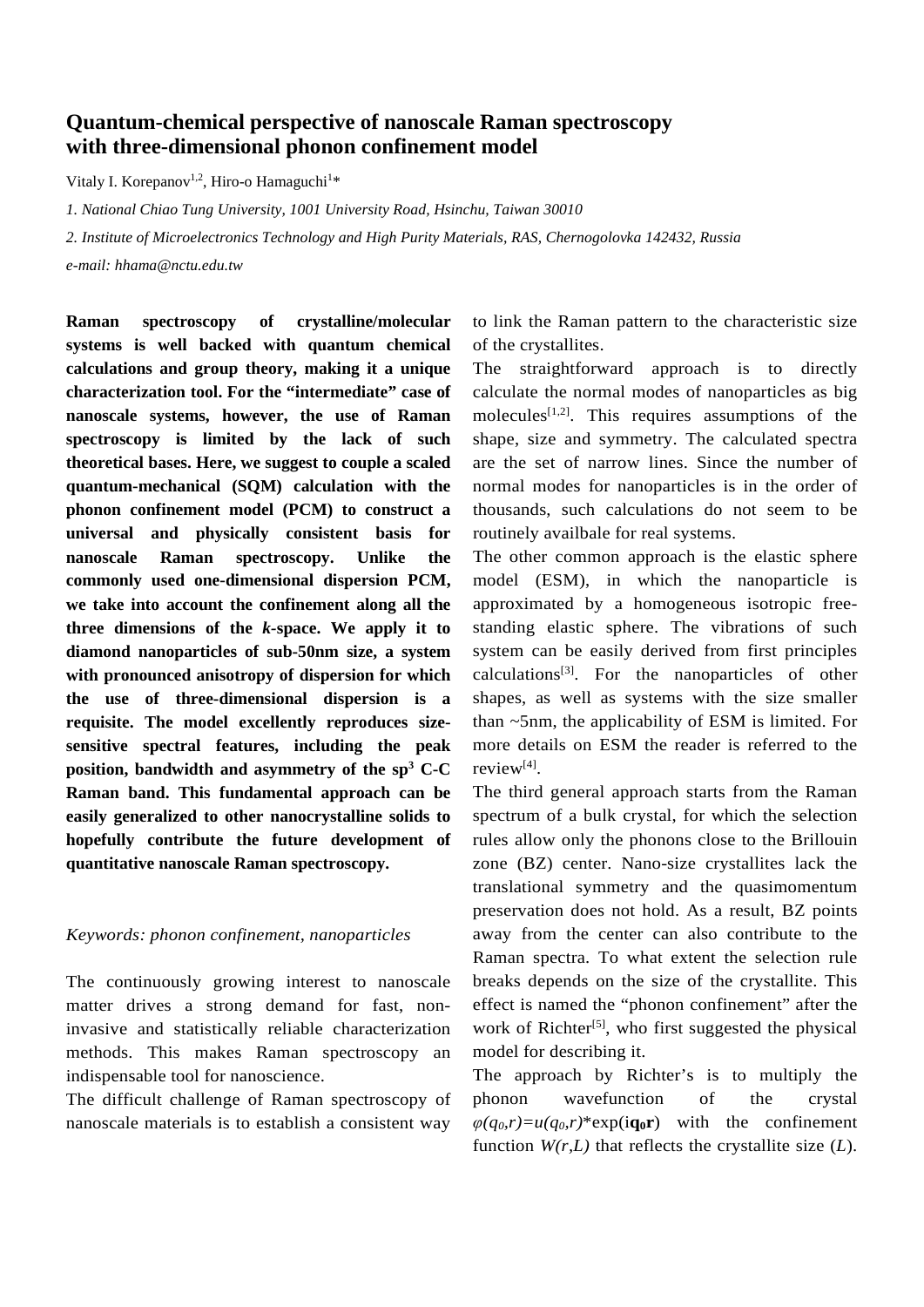## **Quantum-chemical perspective of nanoscale Raman spectroscopy with three-dimensional phonon confinement model**

Vitaly I. Korepanov<sup>1,2</sup>, Hiro-o Hamaguchi<sup>1</sup>\*

*1. National Chiao Tung University, 1001 University Road, Hsinchu, Taiwan 30010*

*2. Institute of Microelectronics Technology and High Purity Materials, RAS, Chernogolovka 142432, Russia*

*e-mail: hhama@nctu.edu.tw*

**Raman spectroscopy of crystalline/molecular systems is well backed with quantum chemical calculations and group theory, making it a unique characterization tool. For the "intermediate" case of nanoscale systems, however, the use of Raman spectroscopy is limited by the lack of such theoretical bases. Here, we suggest to couple a scaled quantum-mechanical (SQM) calculation with the phonon confinement model (PCM) to construct a universal and physically consistent basis for nanoscale Raman spectroscopy. Unlike the commonly used one-dimensional dispersion PCM, we take into account the confinement along all the three dimensions of the** *k-***space. We apply it to diamond nanoparticles of sub-50nm size, a system with pronounced anisotropy of dispersion for which the use of three-dimensional dispersion is a requisite. The model excellently reproduces sizesensitive spectral features, including the peak position, bandwidth and asymmetry of the sp3 C-C Raman band. This fundamental approach can be easily generalized to other nanocrystalline solids to hopefully contribute the future development of quantitative nanoscale Raman spectroscopy.**

## *Keywords: phonon confinement, nanoparticles*

The continuously growing interest to nanoscale matter drives a strong demand for fast, noninvasive and statistically reliable characterization methods. This makes Raman spectroscopy an indispensable tool for nanoscience.

The difficult challenge of Raman spectroscopy of nanoscale materials is to establish a consistent way

to link the Raman pattern to the characteristic size of the crystallites.

The straightforward approach is to directly calculate the normal modes of nanoparticles as big molecules<sup>[1,2]</sup>. This requires assumptions of the shape, size and symmetry. The calculated spectra are the set of narrow lines. Since the number of normal modes for nanoparticles is in the order of thousands, such calculations do not seem to be routinely availbale for real systems.

The other common approach is the elastic sphere model (ESM), in which the nanoparticle is approximated by a homogeneous isotropic freestanding elastic sphere. The vibrations of such system can be easily derived from first principles calculations<sup>[3]</sup>. For the nanoparticles of other shapes, as well as systems with the size smaller than ~5nm, the applicability of ESM is limited. For more details on ESM the reader is referred to the review[4].

The third general approach starts from the Raman spectrum of a bulk crystal, for which the selection rules allow only the phonons close to the Brillouin zone (BZ) center. Nano-size crystallites lack the translational symmetry and the quasimomentum preservation does not hold. As a result, BZ points away from the center can also contribute to the Raman spectra. To what extent the selection rule breaks depends on the size of the crystallite. This effect is named the "phonon confinement" after the work of Richter<sup>[5]</sup>, who first suggested the physical model for describing it.

The approach by Richter's is to multiply the phonon wavefunction of the crystal  $\varphi(q_0, r) = u(q_0, r)^*$ exp(**iq**<sub>0</sub>**r**) with the confinement function  $W(r, L)$  that reflects the crystallite size  $(L)$ .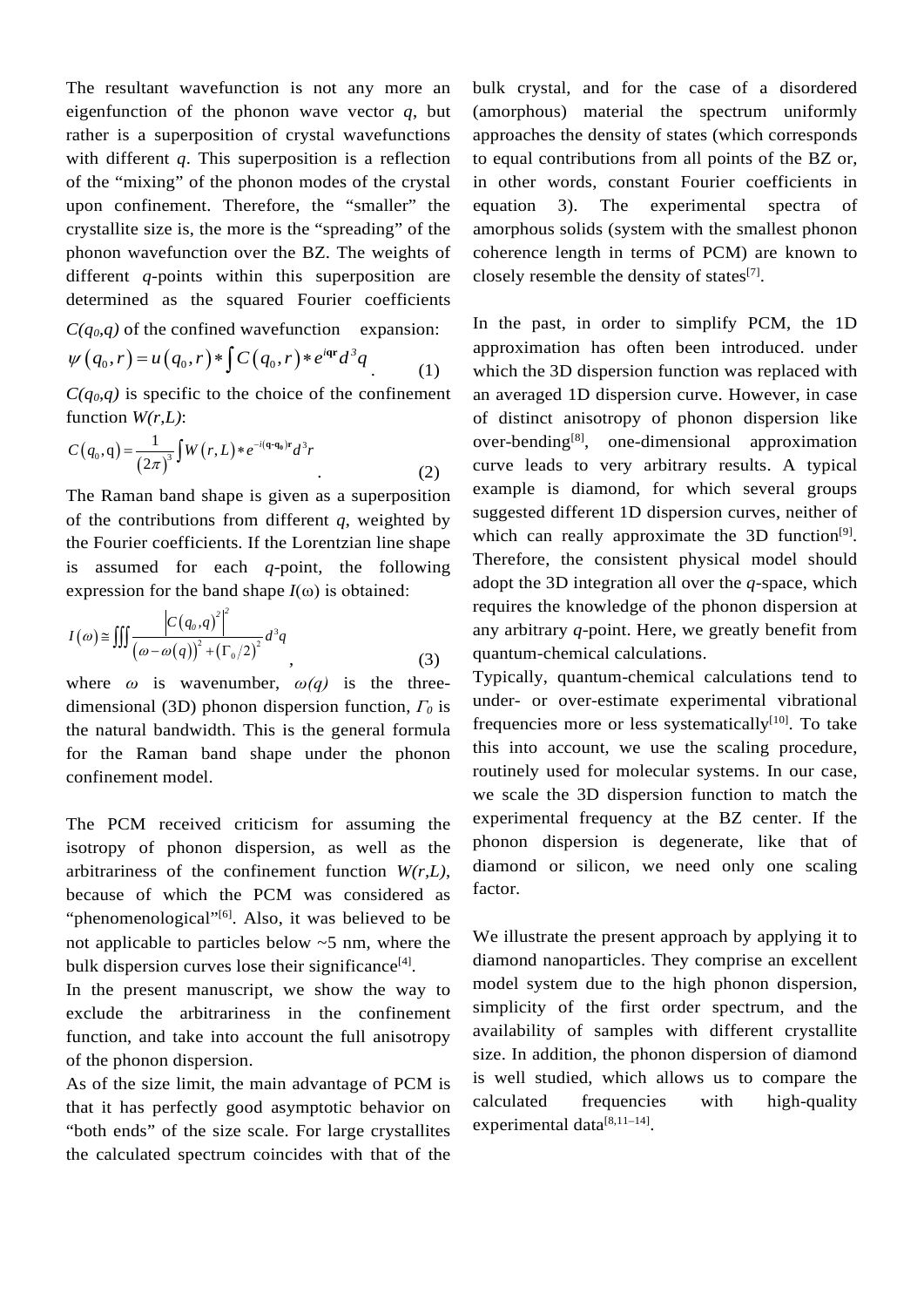The resultant wavefunction is not any more an eigenfunction of the phonon wave vector *q*, but rather is a superposition of crystal wavefunctions with different *q*. This superposition is a reflection of the "mixing" of the phonon modes of the crystal upon confinement. Therefore, the "smaller" the crystallite size is, the more is the "spreading" of the phonon wavefunction over the BZ. The weights of different *q*-points within this superposition are determined as the squared Fourier coefficients  $C(a_0, a)$  of the confined wavefunction expansion:

$$
\psi(q_0, r) = u(q_0, r) * \int C(q_0, r) * e^{i\mathbf{q} \cdot \mathbf{r}} d^3 q
$$
\n(1)

 $C(q_0,q)$  is specific to the choice of the confinement function *W(r,L)*:

$$
C(q_0, q) = \frac{1}{(2\pi)^3} \int W(r, L) * e^{-i(q \cdot q_0)r} d^3r
$$
 (2)

The Raman band shape is given as a superposition of the contributions from different *q*, weighted by the Fourier coefficients. If the Lorentzian line shape is assumed for each *q-*point, the following expression for the band shape  $I(\omega)$  is obtained:

$$
I(\omega) \cong \iiint \frac{\left| C(q_o, q)^2 \right|^2}{\left( \omega - \omega(q) \right)^2 + \left( \Gamma_0/2 \right)^2} d^3q
$$
\n(3)

where  $\omega$  is wavenumber,  $\omega(q)$  is the threedimensional (3D) phonon dispersion function, *Γ<sup>0</sup>* is the natural bandwidth. This is the general formula for the Raman band shape under the phonon confinement model.

The PCM received criticism for assuming the isotropy of phonon dispersion, as well as the arbitrariness of the confinement function *W(r,L)*, because of which the PCM was considered as "phenomenological"<sup>[6]</sup>. Also, it was believed to be not applicable to particles below ~5 nm, where the bulk dispersion curves lose their significance<sup>[4]</sup>.

In the present manuscript, we show the way to exclude the arbitrariness in the confinement function, and take into account the full anisotropy of the phonon dispersion.

As of the size limit, the main advantage of PCM is that it has perfectly good asymptotic behavior on "both ends" of the size scale. For large crystallites the calculated spectrum coincides with that of the bulk crystal, and for the case of a disordered (amorphous) material the spectrum uniformly approaches the density of states (which corresponds to equal contributions from all points of the BZ or, in other words, constant Fourier coefficients in equation 3). The experimental spectra of amorphous solids (system with the smallest phonon coherence length in terms of PCM) are known to closely resemble the density of states $^{[7]}$ .

In the past, in order to simplify PCM, the 1D approximation has often been introduced. under which the 3D dispersion function was replaced with an averaged 1D dispersion curve. However, in case of distinct anisotropy of phonon dispersion like over-bending[8], one-dimensional approximation curve leads to very arbitrary results. A typical example is diamond, for which several groups suggested different 1D dispersion curves, neither of which can really approximate the  $3D$  function<sup>[9]</sup>. Therefore, the consistent physical model should adopt the 3D integration all over the *q-*space, which requires the knowledge of the phonon dispersion at any arbitrary *q-*point. Here, we greatly benefit from quantum-chemical calculations.

Typically, quantum-chemical calculations tend to under- or over-estimate experimental vibrational frequencies more or less systematically<sup>[10]</sup>. To take this into account, we use the scaling procedure, routinely used for molecular systems. In our case, we scale the 3D dispersion function to match the experimental frequency at the BZ center. If the phonon dispersion is degenerate, like that of diamond or silicon, we need only one scaling factor.

We illustrate the present approach by applying it to diamond nanoparticles. They comprise an excellent model system due to the high phonon dispersion, simplicity of the first order spectrum, and the availability of samples with different crystallite size. In addition, the phonon dispersion of diamond is well studied, which allows us to compare the calculated frequencies with high-quality experimental data<sup>[8,11-14]</sup>.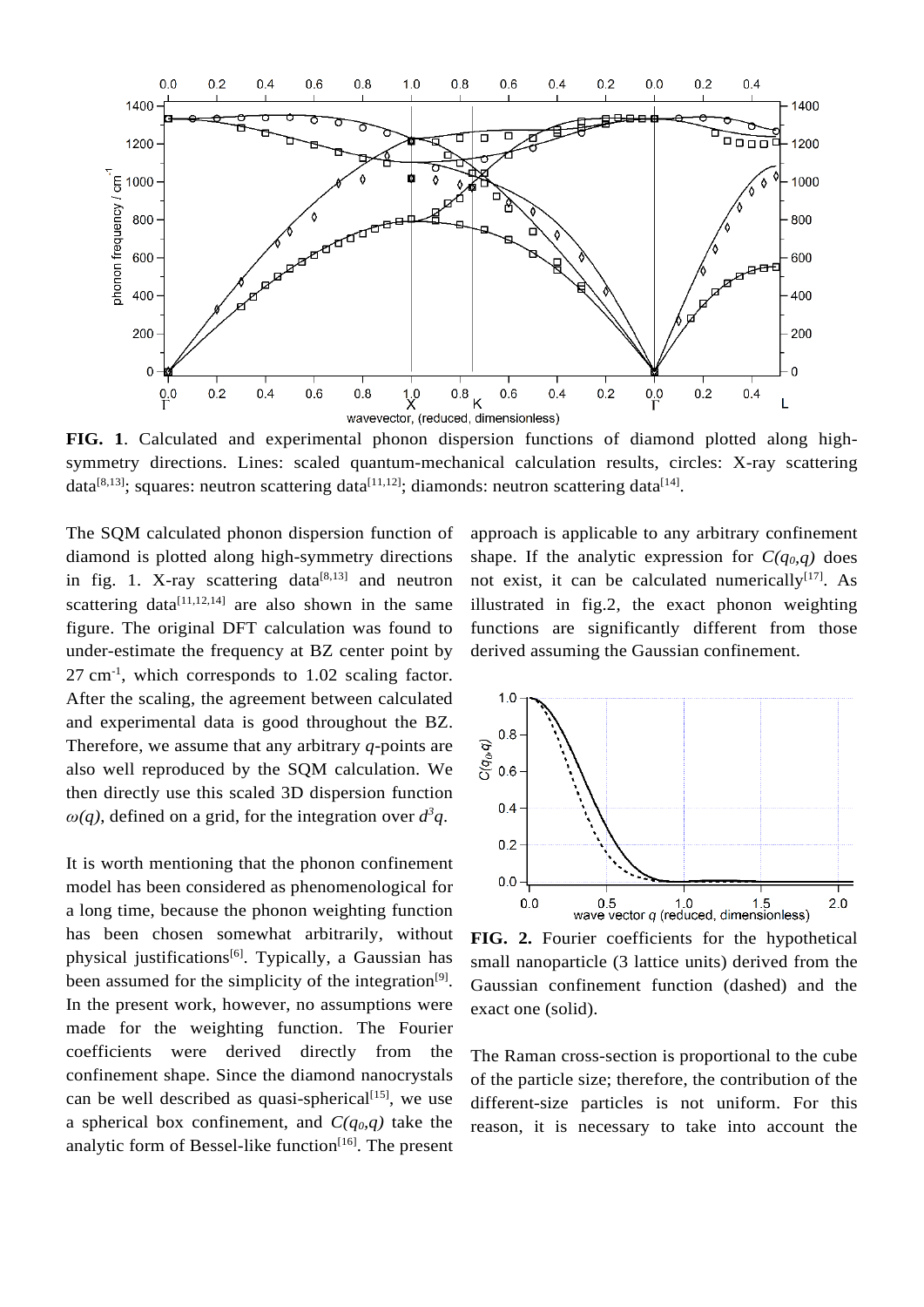

**FIG. 1**. Calculated and experimental phonon dispersion functions of diamond plotted along highsymmetry directions. Lines: scaled quantum-mechanical calculation results, circles: X-ray scattering data<sup>[8,13]</sup>; squares: neutron scattering data<sup>[11,12]</sup>; diamonds: neutron scattering data<sup>[14]</sup>.

The SQM calculated phonon dispersion function of diamond is plotted along high-symmetry directions in fig. 1. X-ray scattering data $[8,13]$  and neutron scattering data $[11,12,14]$  are also shown in the same figure. The original DFT calculation was found to under-estimate the frequency at BZ center point by 27 cm-1 , which corresponds to 1.02 scaling factor. After the scaling, the agreement between calculated and experimental data is good throughout the BZ. Therefore, we assume that any arbitrary *q-*points are also well reproduced by the SQM calculation. We then directly use this scaled 3D dispersion function  $\omega(q)$ , defined on a grid, for the integration over  $d^3q$ .

It is worth mentioning that the phonon confinement model has been considered as phenomenological for a long time, because the phonon weighting function has been chosen somewhat arbitrarily, without physical justifications<sup>[6]</sup>. Typically, a Gaussian has been assumed for the simplicity of the integration $[9]$ . In the present work, however, no assumptions were made for the weighting function. The Fourier coefficients were derived directly from the confinement shape. Since the diamond nanocrystals can be well described as quasi-spherical $[15]$ , we use a spherical box confinement, and  $C(q_0, q)$  take the analytic form of Bessel-like function $[16]$ . The present

approach is applicable to any arbitrary confinement shape. If the analytic expression for  $C(q_0, q)$  does not exist, it can be calculated numerically $[17]$ . As illustrated in fig.2, the exact phonon weighting functions are significantly different from those derived assuming the Gaussian confinement.



**FIG. 2.** Fourier coefficients for the hypothetical small nanoparticle (3 lattice units) derived from the Gaussian confinement function (dashed) and the exact one (solid).

The Raman cross-section is proportional to the cube of the particle size; therefore, the contribution of the different-size particles is not uniform. For this reason, it is necessary to take into account the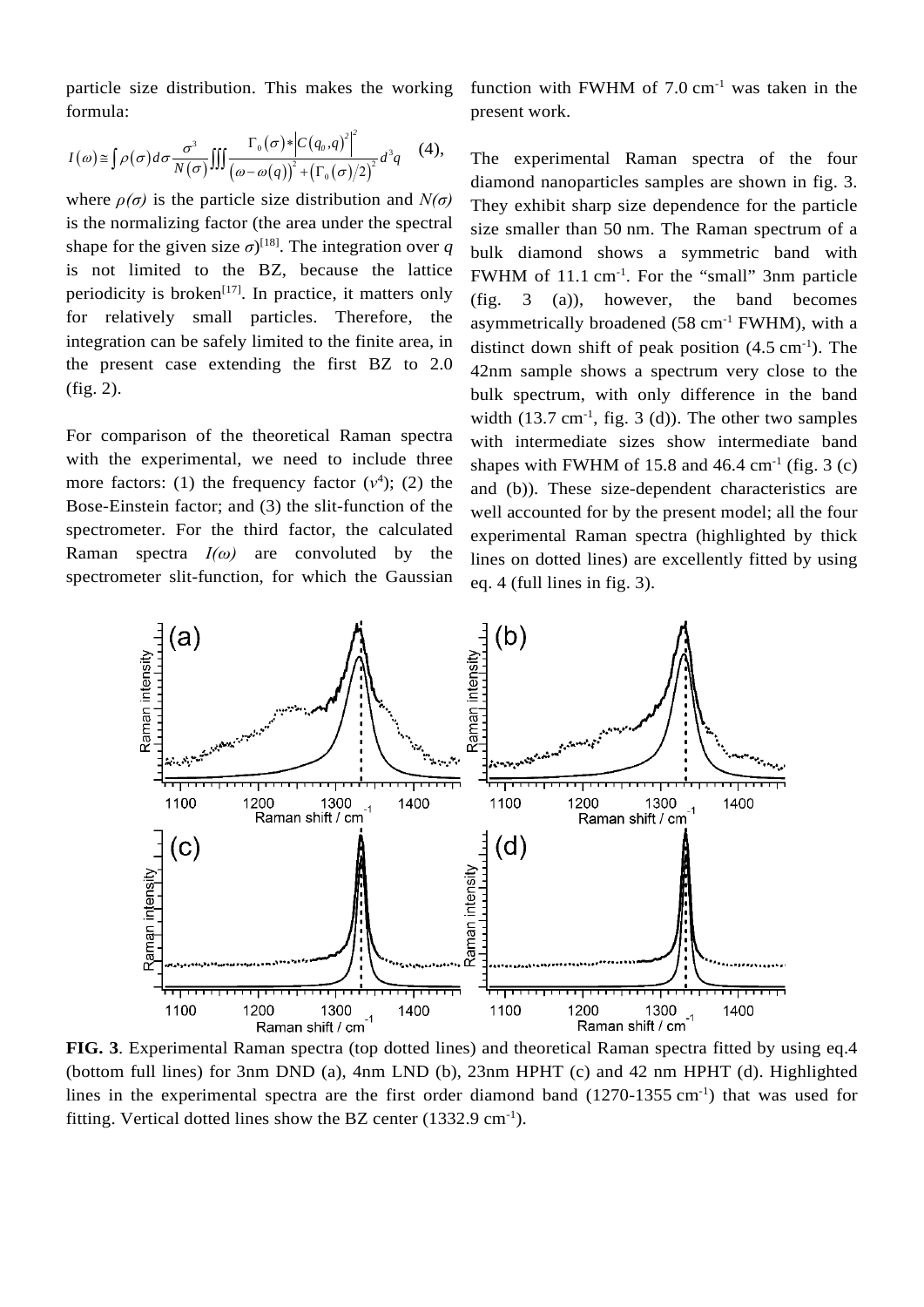particle size distribution. This makes the working formula:

function with FWHM of  $7.0 \text{ cm}^{-1}$  was taken in the present work.

$$
I(\omega) \cong \int \rho(\sigma) d\sigma \frac{\sigma^3}{N(\sigma)} \iiint \frac{\Gamma_0(\sigma) * \left| C(q_0, q)^2 \right|^2}{\left( \omega - \omega(q) \right)^2 + \left( \Gamma_0(\sigma) / 2 \right)^2} d^3q \quad (4),
$$

where  $\rho(\sigma)$  is the particle size distribution and  $N(\sigma)$ is the normalizing factor (the area under the spectral shape for the given size  $\sigma$ <sup>[18]</sup>. The integration over *q* is not limited to the BZ, because the lattice periodicity is broken<sup>[17]</sup>. In practice, it matters only for relatively small particles. Therefore, the integration can be safely limited to the finite area, in the present case extending the first BZ to 2.0 (fig. 2).

For comparison of the theoretical Raman spectra with the experimental, we need to include three more factors: (1) the frequency factor  $(v^4)$ ; (2) the Bose-Einstein factor; and (3) the slit-function of the spectrometer. For the third factor, the calculated Raman spectra  $I(\omega)$  are convoluted by the spectrometer slit-function, for which the Gaussian

The experimental Raman spectra of the four diamond nanoparticles samples are shown in fig. 3. They exhibit sharp size dependence for the particle size smaller than 50 nm. The Raman spectrum of a bulk diamond shows a symmetric band with FWHM of 11.1 cm<sup>-1</sup>. For the "small" 3nm particle (fig. 3 (a)), however, the band becomes asymmetrically broadened  $(58 \text{ cm}^{-1} \text{ FWHM})$ , with a distinct down shift of peak position  $(4.5 \text{ cm}^{-1})$ . The 42nm sample shows a spectrum very close to the bulk spectrum, with only difference in the band width  $(13.7 \text{ cm}^{-1}, \text{ fig. } 3 \text{ (d)}).$  The other two samples with intermediate sizes show intermediate band shapes with FWHM of 15.8 and  $46.4 \text{ cm}^{-1}$  (fig. 3 (c) and (b)). These size-dependent characteristics are well accounted for by the present model; all the four experimental Raman spectra (highlighted by thick lines on dotted lines) are excellently fitted by using eq. 4 (full lines in fig. 3).



(bottom full lines) for 3nm DND (a), 4nm LND (b), 23nm HPHT (c) and 42 nm HPHT (d). Highlighted lines in the experimental spectra are the first order diamond band (1270-1355 cm<sup>-1</sup>) that was used for fitting. Vertical dotted lines show the BZ center (1332.9 cm<sup>-1</sup>).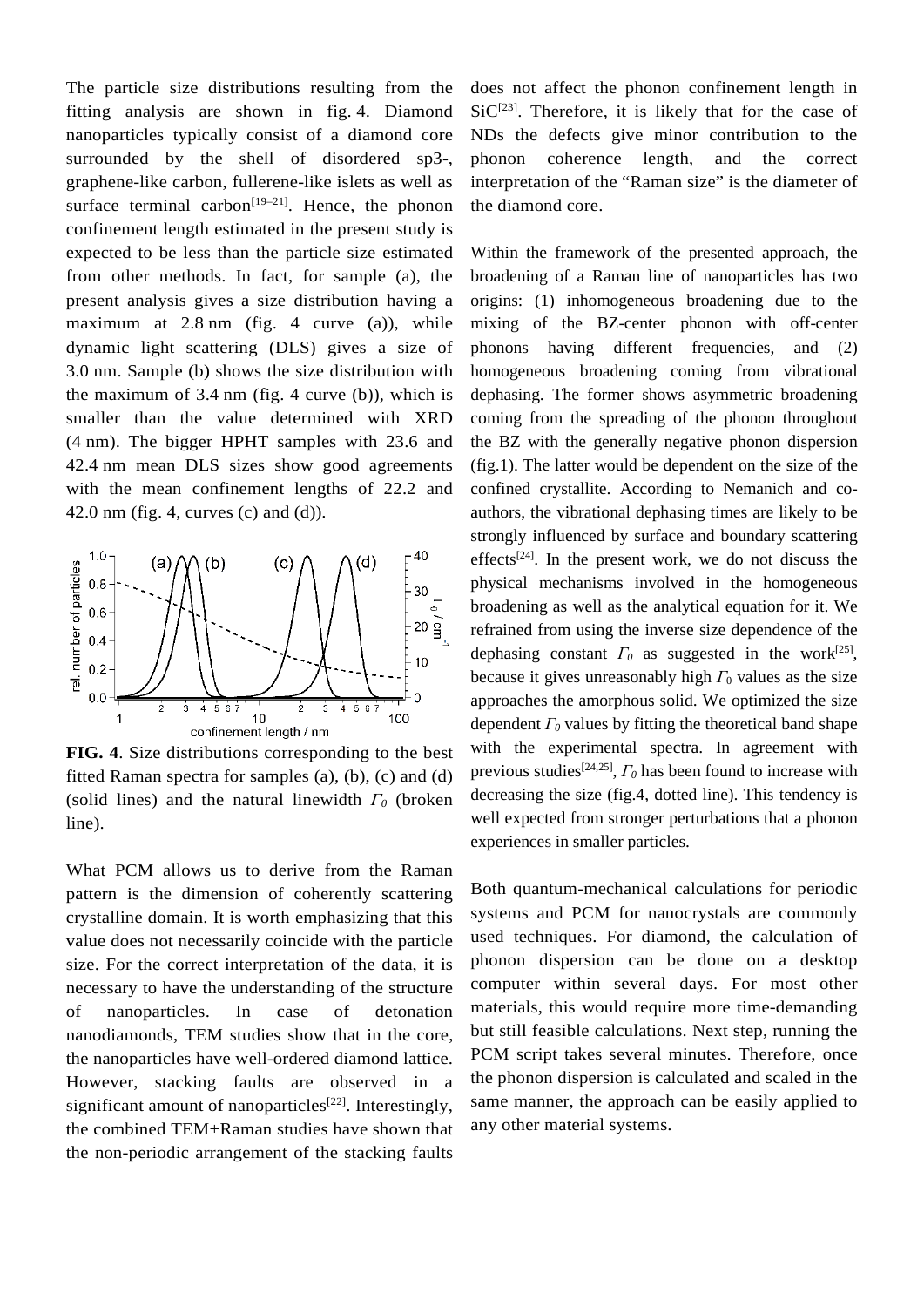The particle size distributions resulting from the fitting analysis are shown in fig. 4. Diamond nanoparticles typically consist of a diamond core surrounded by the shell of disordered sp3-, graphene-like carbon, fullerene-like islets as well as surface terminal carbon<sup>[19–21]</sup>. Hence, the phonon confinement length estimated in the present study is expected to be less than the particle size estimated from other methods. In fact, for sample (a), the present analysis gives a size distribution having a maximum at 2.8 nm (fig. 4 curve (a)), while dynamic light scattering (DLS) gives a size of 3.0 nm. Sample (b) shows the size distribution with the maximum of 3.4 nm (fig. 4 curve (b)), which is smaller than the value determined with XRD (4 nm). The bigger HPHT samples with 23.6 and 42.4 nm mean DLS sizes show good agreements with the mean confinement lengths of 22.2 and 42.0 nm (fig. 4, curves (c) and (d)).



**FIG. 4**. Size distributions corresponding to the best fitted Raman spectra for samples (a), (b), (c) and (d) (solid lines) and the natural linewidth *Γ<sup>0</sup>* (broken line).

What PCM allows us to derive from the Raman pattern is the dimension of coherently scattering crystalline domain. It is worth emphasizing that this value does not necessarily coincide with the particle size. For the correct interpretation of the data, it is necessary to have the understanding of the structure of nanoparticles. In case of detonation nanodiamonds, TEM studies show that in the core, the nanoparticles have well-ordered diamond lattice. However, stacking faults are observed in a significant amount of nanoparticles<sup>[22]</sup>. Interestingly, the combined TEM+Raman studies have shown that the non-periodic arrangement of the stacking faults

does not affect the phonon confinement length in  $SiC^{[23]}$ . Therefore, it is likely that for the case of NDs the defects give minor contribution to the phonon coherence length, and the correct interpretation of the "Raman size" is the diameter of the diamond core.

Within the framework of the presented approach, the broadening of a Raman line of nanoparticles has two origins: (1) inhomogeneous broadening due to the mixing of the BZ-center phonon with off-center phonons having different frequencies, and (2) homogeneous broadening coming from vibrational dephasing. The former shows asymmetric broadening coming from the spreading of the phonon throughout the BZ with the generally negative phonon dispersion (fig.1). The latter would be dependent on the size of the confined crystallite. According to Nemanich and coauthors, the vibrational dephasing times are likely to be strongly influenced by surface and boundary scattering effects<sup>[24]</sup>. In the present work, we do not discuss the physical mechanisms involved in the homogeneous broadening as well as the analytical equation for it. We refrained from using the inverse size dependence of the dephasing constant  $\Gamma_0$  as suggested in the work<sup>[25]</sup>, because it gives unreasonably high  $\Gamma_0$  values as the size approaches the amorphous solid. We optimized the size dependent *Γ<sup>0</sup>* values by fitting the theoretical band shape with the experimental spectra. In agreement with previous studies[24,25], *Γ<sup>0</sup>* has been found to increase with decreasing the size (fig.4, dotted line). This tendency is well expected from stronger perturbations that a phonon experiences in smaller particles.

Both quantum-mechanical calculations for periodic systems and PCM for nanocrystals are commonly used techniques. For diamond, the calculation of phonon dispersion can be done on a desktop computer within several days. For most other materials, this would require more time-demanding but still feasible calculations. Next step, running the PCM script takes several minutes. Therefore, once the phonon dispersion is calculated and scaled in the same manner, the approach can be easily applied to any other material systems.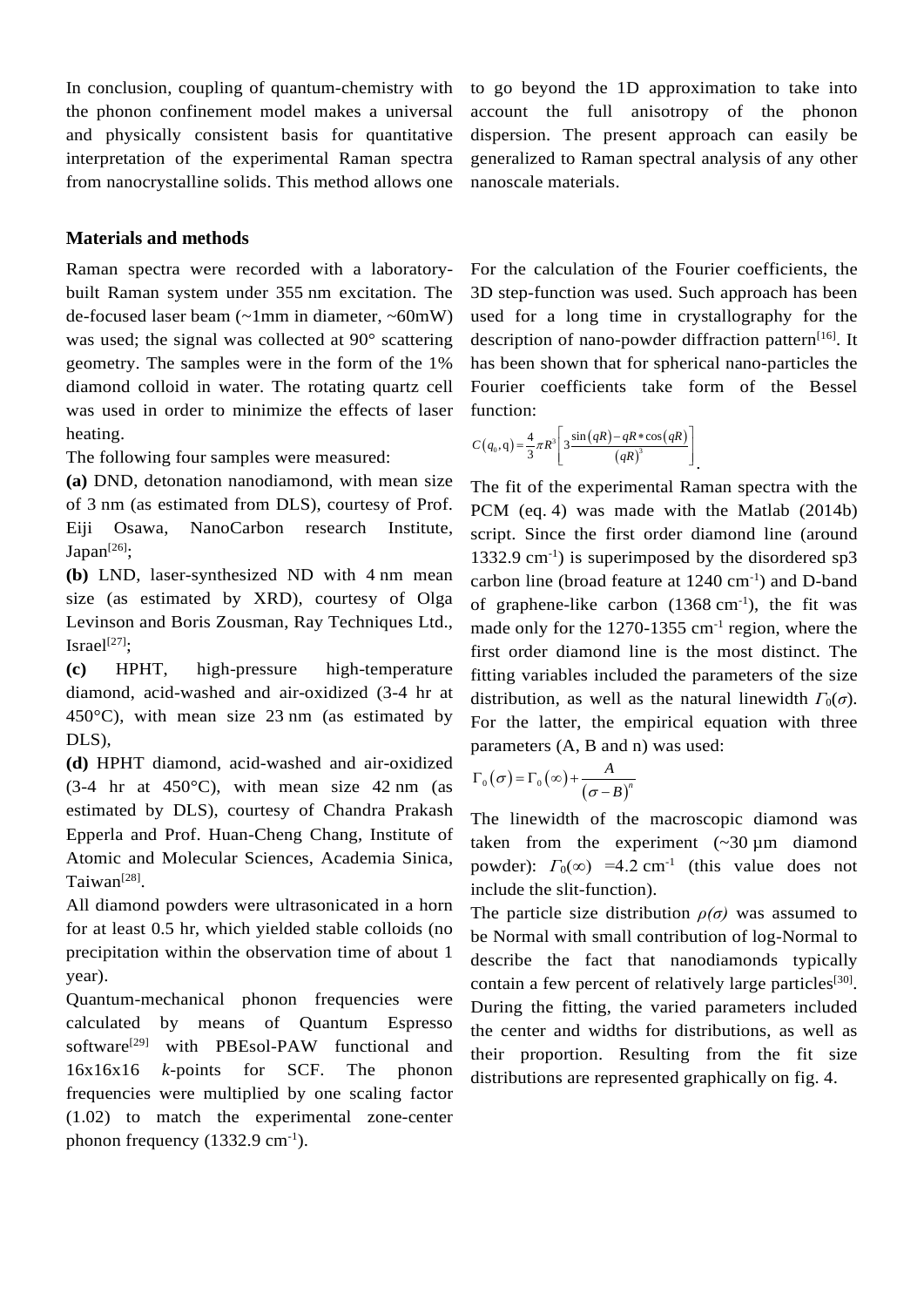In conclusion, coupling of quantum-chemistry with the phonon confinement model makes a universal and physically consistent basis for quantitative interpretation of the experimental Raman spectra from nanocrystalline solids. This method allows one

**Materials and methods**

Raman spectra were recorded with a laboratorybuilt Raman system under 355 nm excitation. The de-focused laser beam (~1mm in diameter, ~60mW) was used; the signal was collected at 90° scattering geometry. The samples were in the form of the 1% diamond colloid in water. The rotating quartz cell was used in order to minimize the effects of laser heating.

The following four samples were measured:

**(a)** DND, detonation nanodiamond, with mean size of 3 nm (as estimated from DLS), courtesy of Prof. Eiji Osawa, NanoCarbon research Institute, Japan<sup>[26]</sup>;

**(b)** LND, laser-synthesized ND with 4 nm mean size (as estimated by XRD), courtesy of Olga Levinson and Boris Zousman, Ray Techniques Ltd., Israel $^{[27]}$ :

**(c)** HPHT, high-pressure high-temperature diamond, acid-washed and air-oxidized (3-4 hr at 450°C), with mean size 23 nm (as estimated by DLS),

**(d)** HPHT diamond, acid-washed and air-oxidized  $(3-4)$  hr at  $450^{\circ}$ C), with mean size  $42$  nm (as estimated by DLS), courtesy of Chandra Prakash Epperla and Prof. Huan-Cheng Chang, Institute of Atomic and Molecular Sciences, Academia Sinica, Taiwan[28].

All diamond powders were ultrasonicated in a horn for at least 0.5 hr, which yielded stable colloids (no precipitation within the observation time of about 1 year).

Quantum-mechanical phonon frequencies were calculated by means of Quantum Espresso software<sup>[29]</sup> with PBEsol-PAW functional and 16x16x16 *k*-points for SCF. The phonon frequencies were multiplied by one scaling factor (1.02) to match the experimental zone-center phonon frequency  $(1332.9 \text{ cm}^{-1})$ .

to go beyond the 1D approximation to take into account the full anisotropy of the phonon dispersion. The present approach can easily be generalized to Raman spectral analysis of any other nanoscale materials.

For the calculation of the Fourier coefficients, the 3D step-function was used. Such approach has been used for a long time in crystallography for the description of nano-powder diffraction pattern<sup>[16]</sup>. It has been shown that for spherical nano-particles the Fourier coefficients take form of the Bessel function:

$$
C(q_0, q) = \frac{4}{3}\pi R^3 \left[ 3\frac{\sin(qR) - qR*\cos(qR)}{(qR)^3} \right].
$$

The fit of the experimental Raman spectra with the PCM (eq. 4) was made with the Matlab (2014b) script. Since the first order diamond line (around 1332.9 cm-1 ) is superimposed by the disordered sp3 carbon line (broad feature at  $1240 \text{ cm}^{-1}$ ) and D-band of graphene-like carbon  $(1368 \text{ cm}^{-1})$ , the fit was made only for the 1270-1355 cm<sup>-1</sup> region, where the first order diamond line is the most distinct. The fitting variables included the parameters of the size distribution, as well as the natural linewidth  $\Gamma_0(\sigma)$ . For the latter, the empirical equation with three parameters (A, B and n) was used:

$$
\Gamma_0(\sigma) = \Gamma_0(\infty) + \frac{A}{(\sigma - B)^n}
$$

The linewidth of the macroscopic diamond was taken from the experiment  $(\sim 30 \,\mu m)$  diamond powder):  $\Gamma_0(\infty)$  =4.2 cm<sup>-1</sup> (this value does not include the slit-function).

The particle size distribution  $\rho(\sigma)$  was assumed to be Normal with small contribution of log-Normal to describe the fact that nanodiamonds typically contain a few percent of relatively large particles<sup>[30]</sup>. During the fitting, the varied parameters included the center and widths for distributions, as well as their proportion. Resulting from the fit size distributions are represented graphically on fig. 4.